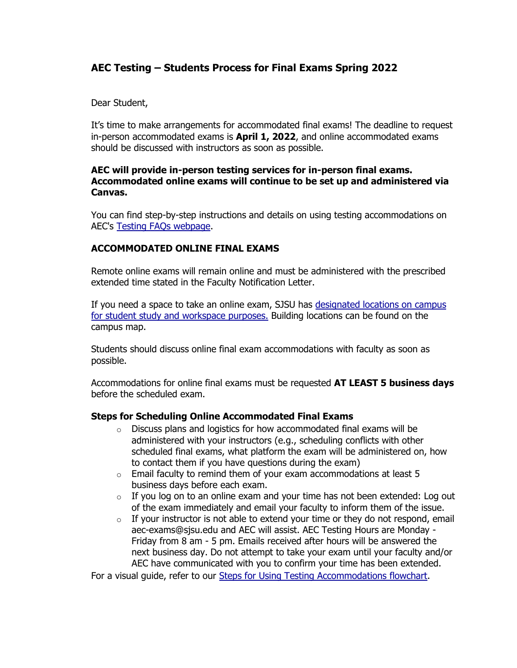# **AEC Testing – Students Process for Final Exams Spring 2022**

Dear Student,

It's time to make arrangements for accommodated final exams! The deadline to request in-person accommodated exams is **April 1, 2022**, and online accommodated exams should be discussed with instructors as soon as possible.

## **AEC will provide in-person testing services for in-person final exams. Accommodated online exams will continue to be set up and administered via Canvas.**

You can find step-by-step instructions and details on using testing accommodations on AEC's [Testing FAQs webpage.](https://www.sjsu.edu/aec/about/faq/current-students.php#currentstdtestaccoms)

# **ACCOMMODATED ONLINE FINAL EXAMS**

Remote online exams will remain online and must be administered with the prescribed extended time stated in the Faculty Notification Letter.

If you need a space to take an online exam, SJSU has [designated locations on campus](https://www.sjsu.edu/learnanywhere/campus-resources/study-resources.php)  [for student study and workspace purposes.](https://www.sjsu.edu/learnanywhere/campus-resources/study-resources.php) Building locations can be found on the campus map.

Students should discuss online final exam accommodations with faculty as soon as possible.

Accommodations for online final exams must be requested **AT LEAST 5 business days** before the scheduled exam.

# **Steps for Scheduling Online Accommodated Final Exams**

- o Discuss plans and logistics for how accommodated final exams will be administered with your instructors (e.g., scheduling conflicts with other scheduled final exams, what platform the exam will be administered on, how to contact them if you have questions during the exam)
- $\circ$  Email faculty to remind them of your exam accommodations at least 5 business days before each exam.
- $\circ$  If you log on to an online exam and your time has not been extended: Log out of the exam immediately and email your faculty to inform them of the issue.
- $\circ$  If your instructor is not able to extend your time or they do not respond, email aec-exams@sjsu.edu and AEC will assist. AEC Testing Hours are Monday - Friday from 8 am - 5 pm. Emails received after hours will be answered the next business day. Do not attempt to take your exam until your faculty and/or AEC have communicated with you to confirm your time has been extended.

For a visual guide, refer to our [Steps for Using Testing Accommodations flowchart.](https://www.sjsu.edu/aec/docs/Steps%20for%20Using%20Testing%20Accommodations%20AEC%20Flowchart%20Spring%202022.pdf)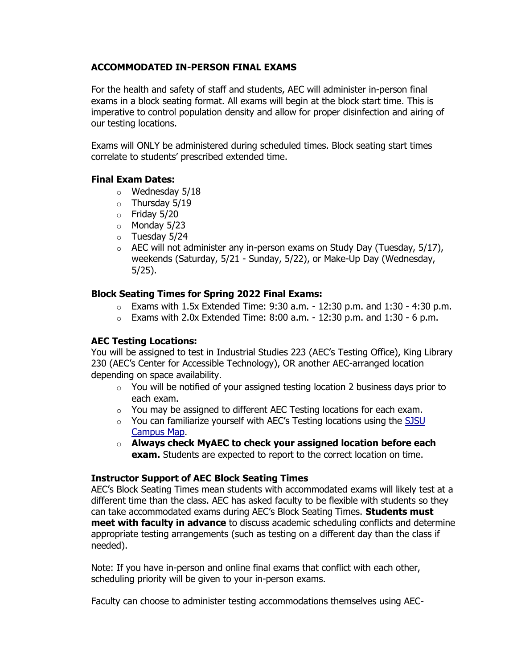# **ACCOMMODATED IN-PERSON FINAL EXAMS**

For the health and safety of staff and students, AEC will administer in-person final exams in a block seating format. All exams will begin at the block start time. This is imperative to control population density and allow for proper disinfection and airing of our testing locations.

Exams will ONLY be administered during scheduled times. Block seating start times correlate to students' prescribed extended time.

## **Final Exam Dates:**

- $\circ$  Wednesday 5/18
- $\circ$  Thursday 5/19
- $\circ$  Friday 5/20
- o Monday 5/23
- o Tuesday 5/24
- $\circ$  AEC will not administer any in-person exams on Study Day (Tuesday, 5/17), weekends (Saturday, 5/21 - Sunday, 5/22), or Make-Up Day (Wednesday, 5/25).

## **Block Seating Times for Spring 2022 Final Exams:**

- $\circ$  Exams with 1.5x Extended Time: 9:30 a.m. 12:30 p.m. and 1:30 4:30 p.m.
- $\circ$  Exams with 2.0x Extended Time: 8:00 a.m. 12:30 p.m. and 1:30 6 p.m.

# **AEC Testing Locations:**

You will be assigned to test in Industrial Studies 223 (AEC's Testing Office), King Library 230 (AEC's Center for Accessible Technology), OR another AEC-arranged location depending on space availability.

- $\circ$  You will be notified of your assigned testing location 2 business days prior to each exam.
- $\circ$  You may be assigned to different AEC Testing locations for each exam.
- o You can familiarize yourself with AEC's Testing locations using the [SJSU](https://www.sjsu.edu/map/)  [Campus Map.](https://www.sjsu.edu/map/)
- o **Always check MyAEC to check your assigned location before each exam.** Students are expected to report to the correct location on time.

#### **Instructor Support of AEC Block Seating Times**

AEC's Block Seating Times mean students with accommodated exams will likely test at a different time than the class. AEC has asked faculty to be flexible with students so they can take accommodated exams during AEC's Block Seating Times. **Students must meet with faculty in advance** to discuss academic scheduling conflicts and determine appropriate testing arrangements (such as testing on a different day than the class if needed).

Note: If you have in-person and online final exams that conflict with each other, scheduling priority will be given to your in-person exams.

Faculty can choose to administer testing accommodations themselves using AEC-